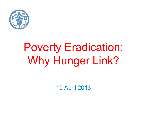

# Poverty Eradication: Why Hunger Link?

19 April 2013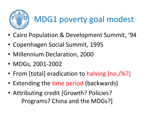

#### MDG1 poverty goal modest

- Cairo Population & Development Summit, '94
- Copenhagen Social Summit, 1995
- Millennium Declaration, 2000
- MDGs, 2001-2002
- •• From [total] eradication to halving [no./%?]
- Extending the time period (backwards)
- Attributing credit [Growth? Policies? Programs? China and the MDGs?]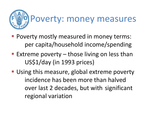

- **Poverty mostly measured in money terms:** per capita/household income/spending
- **Extreme poverty those living on less than** US\$1/day (in 1993 prices)
- **Using this measure, global extreme poverty** incidence has been more than halved over last 2 decades, but with significant regional variation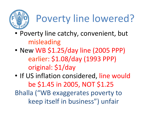

# Poverty line lowered?

- • Poverty line catchy, convenient, but misleading
- $\bullet$  Now MR  $\zeta$ 1 • New WB \$1.25/day line (2005 PPP) earlier: \$1.08/day (1993 PPP)original: \$1/day
- •• If US inflation considered, line would be \$1.45 in 2005, NOT \$1.25 Bhalla ("WB exaggerates poverty to keep itself in business") unfair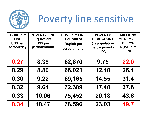

# Poverty line sensitive

| <b>POVERTY</b><br><b>LINE</b><br>US\$ per<br>person/day | <b>POVERTY LINE</b><br><b>Equivalent</b><br>US\$ per<br>person/month | <b>POVERTY LINE</b><br><b>Equivalent</b><br><b>Rupiah per</b><br>person/month | <b>POVERTY</b><br><b>HEADCOUNT</b><br>(% population<br>below poverty<br>line) | <b>MILLIONS</b><br><b>OF PEOPLE</b><br><b>BELOW</b><br><b>POVERTY</b><br><b>LINE</b> |
|---------------------------------------------------------|----------------------------------------------------------------------|-------------------------------------------------------------------------------|-------------------------------------------------------------------------------|--------------------------------------------------------------------------------------|
| 0.27                                                    | 8.38                                                                 | 62,870                                                                        | 9.75                                                                          | <b>22.0</b>                                                                          |
| 0.29                                                    | 8.80                                                                 | 66,021                                                                        | 12.10                                                                         | 26.1                                                                                 |
| 0.30                                                    | 9.22                                                                 | 69,165                                                                        | 14.55                                                                         | 31.4                                                                                 |
| 0.32                                                    | 9.64                                                                 | 72,309                                                                        | 17.40                                                                         | 37.6                                                                                 |
| 0.33                                                    | 10.06                                                                | 75,452                                                                        | 20.18                                                                         | 43.6                                                                                 |
| 0.34                                                    | 10.47                                                                | 78,596                                                                        | 23.03                                                                         | 49.7                                                                                 |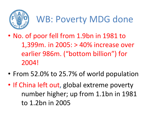

### WB: Poverty MDG done

- $\bullet$  No. of poor fell from 1.9bn in 1981 to 1,399m. in 2005: > 40% increase over earlier 986m. ("bottom billion") for 2004!
- •From 52.0% to 25.7% of world population
- $\bullet$ • If China left out , global extreme poverty number higher; up from 1.1bn in 1981 to 1.2bn in 2005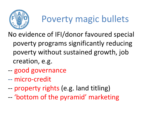

## Poverty magic bullets

No evidence of IFI/donor favoured special poverty programs significantly reducing poverty without sustained growth, job creation, e.g.

- ---- good governance<br>-- micro-credit
- micro-credit
- -property rights (e.g. land titling)
- --'bottom of the pyramid' marketing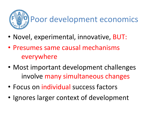

- •• Novel, experimental, innovative, BUT:
- $\bullet$  Presumes same causal mechanisms everywhere
- • Most important development challenges involve many simultaneous changes
- •Focus on individual success factors
- •• Ignores larger context of development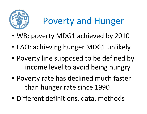

#### Poverty and Hunger

- •WB: poverty MDG1 achieved by 2010
- •FAO: achieving hunger MDG1 unlikely
- • Poverty line supposed to be defined by income level to avoid being hungry
- • Poverty rate has declined much faster than hunger rate since 1990
- •Different definitions, data, methods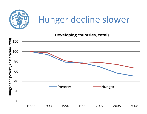

### Hunger decline slower

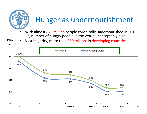

- 12, number of hungry people in the world unacceptably high.
- Vast majority, more than 850 million, in developing countries.**Millions**  $\bullet$

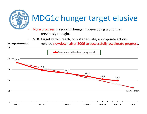

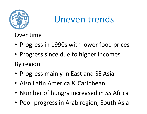

Uneven trends

Over time

- Progress in 1990s with lower food prices
- Progress since due to higher incomes

By region

- Progress mainly in East and SE Asia
- Also Latin America & Caribbean
- Number of hungry increased in SS Africa
- Poor progress in Arab region, South Asia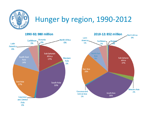

#### Hunger by region, 1990-2012

1990-92: 980 million 2010-12: 852 million **North Africa** 0% Latin Oceania **North Africa** Caribbean America Caribbean. ∩ros 0% 5% 1% 1% Latin America 6% Sub Saharan South-East Asia **Africa** South-East Sub Saharan Western 8% 17% Asia **Africa** Asia 14% 27% 1% **East Asia** 20% East Asia South Asia 27% 33% **Western Asia Caucasus and** 2% South Asia **Central Asia** 36% 1% **Caucasus** and Central Asia  $1%$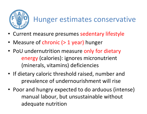

#### Hunger estimates conservative

- •Current measure presumes sedentary lifestyle
- •Measure of chronic (> 1 year) hunger
- PoU undernutrition measure only for dietary energy (calories): ignores micronutrient (minerals, vitamins) deficiencies
- If dietary caloric threshold raised, number and prevalence of undernourishment will rise
- Poor and hungry expected to do arduous (intense) manual labour, but unsustainable without adequate nutrition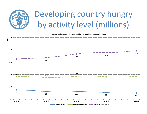

#### Developing country hungry by activity level (millions)

Figure 1. Undernourishment and food inadequacy in the Developing World

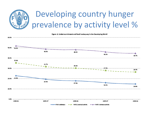

#### Developing country hunger prevalence by activity level %

Figure 2. Undernourishment and food inadequacy in the Developing World

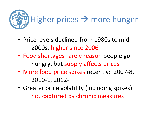

- Price levels declined from 1980s to mid-2000s, higher since 2006
- Food shortages rarely reason people go hungry, but supply affects prices
- More food price spikes recently: 2007-8, 2010-1, 2012-
- Greater price volatility (including spikes) not captured by chronic measures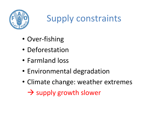

#### Supply constraints

- •Over-fishing
- •• Deforestation
- •Farmland loss
- •Environmental degradation
- •Climate change: weather extremes

- supply growth slower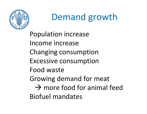

## Demand growth

Population increaseIncome increase Changing consumption Excessive consumption Food waste Growing demand for meat - more food for animal feed Biofuel mandates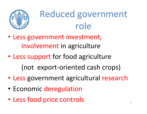

## Reduced government role

- Less government investment, involvement in agriculture
- $\bullet$  Less support for food agriculture(not export-oriented cash crops)
- Less government agricultural research
- •• Economic deregulation
- $\bullet$  Less food price controls<sup>21</sup>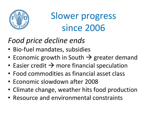

Slower progress since 2006

#### *Food price decline ends*

- Bio-fuel mandates, subsidies
- Economic growth in South  $\rightarrow$  greater demand<br>• Easier credit  $\rightarrow$  more financial speculation
- Easier credit  $\rightarrow$  more financial speculation<br>• Eood commodities as financial asset class
- Food commodities as financial asset class
- Economic slowdown after 2008
- Climate change, weather hits food production
- Resource and environmental constraints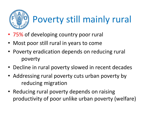

# Poverty still mainly rural

- 75% of developing country poor rural
- •Most poor still rural in years to come
- Poverty eradication depends on reducing rural poverty
- Decline in rural poverty slowed in recent decades
- Addressing rural poverty cuts urban poverty by reducing migration
- Reducing rural poverty depends on raising productivity of poor unlike urban poverty (welfare)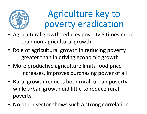

#### Agriculture key to poverty eradication

- Agricultural growth reduces poverty 5 times more than non-agricultural growth
- Role of agricultural growth in reducing poverty greater than in driving economic growth
- More productive agriculture limits food price increases, improves purchasing power of all
- Rural growth reduces both rural, urban poverty, while urban growth did little to reduce rural poverty
- No other sector shows such a strong correlation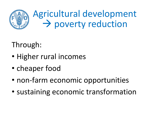

#### Through:

- •Higher rural incomes
- •• cheaper food
- •• non-farm economic opportunities
- •sustaining economic transformation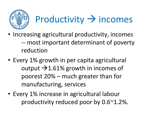

# Productivity  $\rightarrow$  incomes

- Increasing agricultural productivity, incomes - most important determinant of poverty reduction
- Every 1% growth in per capita agricultural output  $\rightarrow$  1.61% growth in incomes of poorest 20% – much greater than for manufacturing, services
- Every 1% increase in agricultural labour productivity reduced poor by 0.6~1.2%.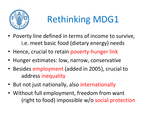

# Rethinking MDG1

- Poverty line defined in terms of income to survive, i.e. meet basic food (dietary energy) needs
- Hence, crucial to retain poverty-hunger link
- Hunger estimates: low, narrow, conservative
- Besides employment (added in 2005), crucial to address inequality
- But not just nationally, also internationally
- Without full employment, freedom from want (right to food) impossible w/o social protection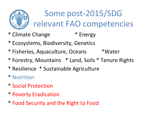

Some post-2015/SDG relevant FAO competencies

- \* Climate Change  $*$  Energy
- \* Ecosystems, Biodiversity, Genetics
- \* Fisheries, Aquaculture, Oceans \*Water
- \* Forestry, Mountains \* Land, Soils \* Tenure Rights
- \* Resilience \* Sustainable Agriculture
- \* Nutrition
- \* Social Protection
- \* Poverty Eradication
- \* Food Security and the Right to Food